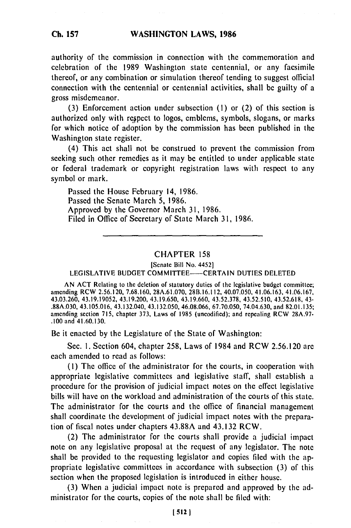authority of the commission in connection with the commemoration and celebration of the 1989 Washington state centennial, or any facsimile thereof, or any combination or simulation thereof tending to suggest official connection with the centennial or centennial activities, shall be guilty of a gross misdemeanor.

(3) Enforcement action under subsection (1) or (2) of this section is authorized only with respect to logos, emblems, symbols, slogans, or marks for which notice of adoption by the commission has been published in the Washington state register.

(4) This act shall not be construed to prevent the commission from seeking such other remedies as it may be entitled to under applicable state or federal trademark or copyright registration laws with respect to any symbol or mark.

Passed the House February 14, 1986. Passed the Senate March 5, 1986. Approved by the Governor March 31, 1986. Filed in Office of Secretary of State March 31, 1986.

#### CHAPTER 158

[Senate Bill No. 4452]

LEGISLATIVE BUDGET COMMITTEE--CERTAIN DUTIES DELETED

AN ACT Relating to the deletion of statutory duties of the legislative budget committee; amending RCW 2.56.120, 7.68.160, 28A.61.070, 28 B.16.112, 40.07.050, 41.06.163, 41.06.167, 43.03.260, 43.19.19052, 43.19.200, 43.19.650, 43.19.660, 43.52.378, 43.52.510, 43.52.618, 43- .88A.030, 43.105.016, 43.132.040, 43.132.050, 46.08.066, 67.70.050, 74.04.630, and 82.01.135; amending section 715, chapter 373, Laws of 1985 (uncodified); and repealing RCW 28A.97- .100 and 41.60.130.

Be it enacted by the Legislature of the State of Washington:

Sec. I. Section 604, chapter 258, Laws of 1984 and RCW 2.56.120 are each amended to read as follows:

(I) The office of the administrator for the courts, in cooperation with appropriate legislative committees and legislative staff, shall establish a procedure for the provision of judicial impact notes on the effect legislative bills will have on the workload and administration of the courts of this state. The administrator for the courts and the office of financial management shall coordinate the development of judicial impact notes with the preparation of fiscal notes under chapters 43.88A and 43.132 RCW.

(2) The administrator for the courts shall provide a judicial impact note on any legislative proposal at the request of any legislator. The note shall be provided to the requesting legislator and copies filed with the appropriate legislative committees in accordance with subsection (3) of this section when the proposed legislation is introduced in either house.

(3) When a judicial impact note is prepared and approved by the administrator for the courts, copies of the note shall be filed with: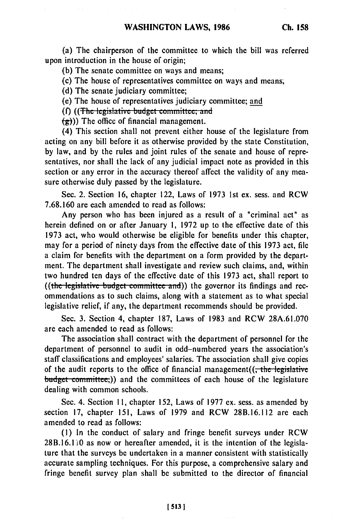(a) The chairperson of the committee to which the bill was referred upon introduction in the house of origin;

**(b)** The senate committee on ways and means;

(c) The house of representatives committee on ways and means,

**(d)** The senate judiciary committee;

(e) The house of representatives judiciary committee; and

**(f)** ((The legislative budget committee; and

 $\left(\frac{1}{\epsilon}\right)$ )) The office of financial management.

(4) This section shall not prevent either house of the legislature from acting on any bill before it as otherwise provided by the state Constitution, **by** law, and **by** the rules and joint rules of the senate and house of representatives, nor shall the lack of any judicial impact note as provided in this section or any error in the accuracy thereof affect the validity of any measure otherwise duly passed **by** the legislature.

Sec. 2. Section **16,** chapter 122, Laws of **1973** 1st ex. sess. and RCW **7.68.160** are each amended to read as follows:

Any person who has been injured as a result of a "criminal act" as herein defined on or after January **1, 1972** up to the effective date of this **1973** act, who would otherwise be eligible for benefits under this chapter, may for a period of ninety days from the effective date of this **1973** act, file a claim for benefits with the department on a form provided **by** the department. The department shall investigate and review such claims, and, within two hundred ten days of the effective date of this **1973** act, shall report to ((the legislative budget committee and)) the governor its findings and recommendations as to such claims, along with a statement as to what special legislative relief, if any, the department recommends should be provided.

Sec. **3.** Section 4, chapter **187,** Laws of **1983** and RCW **28A.61.070** are each amended to read as follows:

The association shall contract with the department of personnel for the department of personnel to audit in odd-numbered years the association's staff classifications and employees' salaries. The association shall give copies of the audit reports to the office of financial management( $(-t)$  the legislative budget committee;)) and the committees of each house of the legislature dealing with common schools.

Sec. 4. Section **11,** chapter **152,** Laws of **1977** ex. sess. as amended **by** section **17,** chapter **151,** Laws of **1979** and RCW **28B.16.112** are each amended to read as follows:

**(I)** In the conduct of salary and fringe benefit surveys under RCW 28B.16.1 **0** as now or hereafter amended, it is the intention of the legislature that the surveys be undertaken in a manner consistent with statistically accurate sampling techniques. For this purpose, a comprehensive salary and fringe benefit survey plan shall be submitted to the director of financial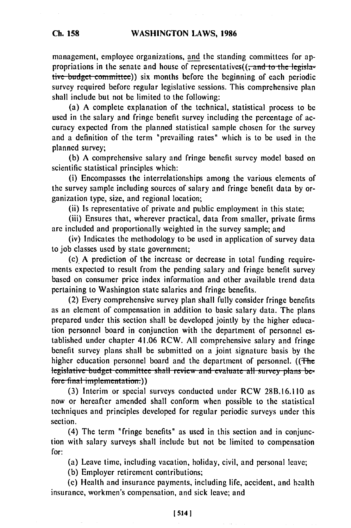management, employee organizations, and the standing committees for appropriations in the senate and house of representatives( $(-$ and- to the legislative budget committee)) six months before the beginning of each periodic survey required before regular legislative sessions. This comprehensive plan shall include but not be limited to the following:

(a) A complete explanation of the technical, statistical process to be used in the salary and fringe benefit survey including the percentage of accuracy expected from the planned statistical sample chosen for the survey and a definition of the term "prevailing rates" which is to be used in the planned survey;

(b) A comprehensive salary and fringe benefit survey model based on scientific statistical principles which:

(i) Encompasses the interrelationships among the various elements of the survey sample including sources of salary and fringe benefit data by organization type, size, and regional location;

(ii) Is representative of private and public employment in this state;

(iii) Ensures that, wherever practical, data from smaller, private firms are included and proportionally weighted in the survey sample; and

(iv) Indicates the methodology to be used in application of survey data to job classes used by state government;

(c). A prediction of the increase or decrease in total funding requirements expected to result from the pending salary and fringe benefit survey based on consumer price index information and other available trend data pertaining to Washington state salaries and fringe benefits.

(2) Every comprehensive survey plan shall fully consider fringe benefits as an element of compensation in addition to basic salary data. The plans prepared under this section shall be developed jointly by the higher education personnel board in conjunction with the department of personnel established under chapter 41.06 RCW. All comprehensive salary and fringe benefit survey plans shall be submitted on a joint signature basis by the higher education personnel board and the department of personnel. ((The legislative budget committee shall review and evaluate all survey plans be-<br>fore final implementation.))

**(3)** Interim or special surveys conducted under RCW 28B.16.110 as now or hereafter amended shall conform when possible to the statistical techniques and principles developed for regular periodic surveys under this section.

(4) The term "fringe benefits" as used in this section and in conjunction with salary surveys shall include but not be limited to compensation for:

(a) Leave time, including vacation, holiday, civil, and personal leave;

**(b)** Employer retirement contributions;

(c) Health and insurance payments, including life, accident, and hcalth insurance, workmen's compensation, and sick leave; and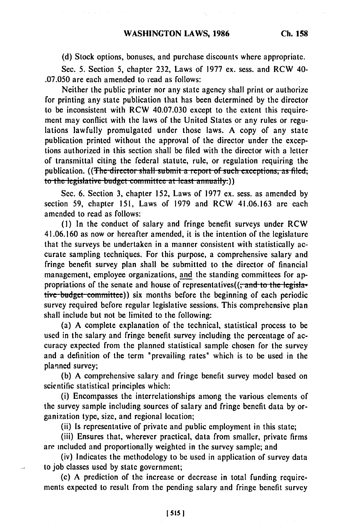**(d)** Stock options, bonuses, and purchase discounts where appropriate.

Sec. **5.** Section **5,** chapter **232,** Laws of 1977 ex. sess. and **RCW 40-** .07.050 are each amended to read as follows:

Neither the public printer nor any state agency shall print or authorize for printing any state publication that has been determined **by** the director to be inconsistent with RCW 40.07.030 except to the extent this requirement may conflict with the laws of the United States or any rules or regulations lawfully promulgated under those laws. A copy of any state publication printed without the approval of the director under the exceptions authorized in this section shall be filed with the director with a letter of transmittal citing the federal statute, rule, or regulation requiring the publication. ((The director shall submit a report of such exceptions, as filed; to the legislative budget committee at least annually.))

Sec. 6. Section 3, chapter 152, Laws of 1977 ex. sess. as amended by section 59, chapter 151, Laws of 1979 and RCW 41.06.163 are each amended to read as follows:

**(1)** In the conduct of salary and fringe benefit surveys under RCW 41.06.160 as now or hereafter amended, it is the intention of the legislature that the surveys be undertaken in a manner consistent with statistically accurate sampling techniques. For this purpose, a comprehensive salary and fringe benefit survey plan shall be submitted to the director of financial management, employee organizations, and the standing committees for appropriations of the senate and house of representatives((<del>, and to the legisla-</del> tive budget committee)) six months before the beginning of each periodic survey required before regular legislative sessions. This comprehensive plan shall include but not be limited to the following:

(a) A complete explanation of the technical, statistical process to be used in the salary and fringe benefit survey including the percentage of accuracy expected from the planned statistical sample chosen for the survey and a definition of the term "prevailing rates" which is to be used in the planned survey;

(b) A comprehensive salary and fringe benefit survey model based on scientific statistical principles which:

(i) Encompasses the interrelationships among the various elements of the survey sample including sources of salary and fringe benefit data by organization type, size, and regional location;

(ii) Is representative of private and public employment in this state;

(iii) Ensures that, wherever practical, data from smaller, private firms are included and proportionally weighted in the survey sample; and

(iv) Indicates the methodology to be used in application of survey data to job classes used by state government;

(c) A prediction of the increase or decrease in total funding requirements expected to result from the pending salary and fringe benefit survey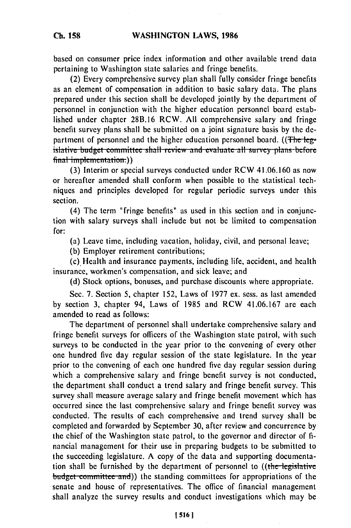### **WASHINGTON LAWS, 1986**

based on consumer price index information and other available trend data pertaining to Washington state salaries and fringe benefits.

(2) Every comprehensive survey plan shall fully consider fringe benefits as an element of compensation in addition to basic salary data. The plans prepared under this section shall be developed jointly by the department of personnel in conjunction with the higher education personnel board established under chapter 28B.16 RCW. All comprehensive salary and fringe benefit survey plans shall be submitted on a joint signature basis by the department of personnel and the higher education personnel board. ((The-legislative budget committee shall review and evaluate all survey plans before final implementation.))

**(3)** Interim or special surveys conducted under RCW 41.06.160 as now or hereafter amended shall conform when possible to the statistical techniques and principles developed for regular periodic surveys under this section.

(4) The term "fringe benefits" as used in this section and in conjunction with salary surveys shall include but not be limited to compensation for:

(a) Leave time, including vacation, holiday, civil, and personal leave;

**(b)** Employer retirement contributions;

(c). Health and insurance payments, including life, accident, and health insurance, workmen's compensation, and sick leave; and

**(d)** Stock options, bonuses, and purchase discounts where appropriate.

Sec. **7.** Section 5, chapter **152,** Laws of **1977** ex. sess. as last amended **by** section **3,** chapter 94, Laws of **1985** and RCW **41.06.167** are each amended to read as follows:

The department of personnel shall undertake comprehensive salary and fringe benefit surveys for officers of the Washington state patrol, with such surveys to **be** conducted in the year prior to the convening of every other one hundred five day regular session of the state legislature. In the year prior to the convening of each one hundred five day regular session during which a comprehensive salary and fringe benefit survey is not conducted, the department shall conduct a trend salary and fringe benefit survey. This survey shall measure average salary and fringe benefit movement which has occurred since the last comprehensive salary and fringe benefit survey was conducted. The results of each comprehensive and trend survey shall be completed and forwarded **by** September **30,** after review and concurrence **by** the chief of the Washington state patrol, to the governor and director of **fi**nancial management for their use in preparing budgets to be submitted to the succeeding legislature. **A** copy of the data and supporting documentation shall be furnished by the department of personnel to ((the legislative budget committee and)) the standing committees for appropriations of the senate and house of representatives. The office of financial management shall analyze the survey results and conduct investigations which may be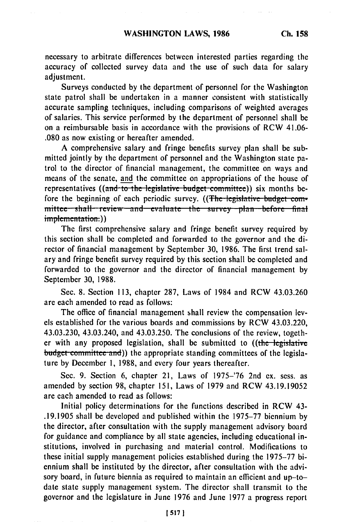necessary to arbitrate differences between interested parties regarding the accuracy of collected survey data and the use of such data for salary adjustment.

Surveys conducted by the department of personnel for the Washington state patrol shall be undertaken in a manner consistent with statistically accurate sampling techniques, including comparisons of weighted averages of salaries. This service performed by the department of personnel shall be on a reimbursable basis in accordance with the provisions of RCW 41.06- .080 as now existing or hereafter amended.

A comprehensive salary and fringe benefits survey plan shall be submitted jointly by the department of personnel and the Washington state patrol to the director of financial management, the committee on ways and means of the senate, and the committee on appropriations of the house of representatives ((and to the legislative budget committee)) six months before the beginning of each periodic survey. ((The legislative budget com $m$ ittee shall review and evaluate the survey plan before final implementation.))

The first comprehensive salary and fringe benefit survey required **by** this section shall be completed and forwarded to the governor and the director of financial management **by** September **30, 1986.** The first trend salary and fringe benefit survey required **by** this section shall be completed and forwarded to the governor and the director of financial management **by** September **30, 1988.**

Sec. **8.** Section **113,** chapter **287,** Laws of 1984 and RCW 43.03.260 are each amended to read as follows:

The office of financial management shall review the compensation levels established for the various boards and commissions **by** RCW 43.03.220, 43.03.230, 43.03.240, and 43.03.250. The conclusions of the review, together with any proposed legislation, shall be submitted to ((the legislative budget committee and)) the appropriate standing committees of the legislature by December **1,** 1988, and every four years thereafter.

Sec. 9. Section 6, chapter 21, Laws of 1975-'76 2nd ex. sess. as amended by section 98, chapter 151, Laws of 1979 and RCW 43.19.19052 are each amended to read as follows:

Initial policy determinations for the functions described in RCW 43- .19.1905 shall be developed and published within the 1975-77 biennium by the director, after consultation with the supply management advisory board for guidance and compliance by all state agencies, including educational institutions, involved in purchasing and material control. Modifications to these initial supply management policies established during the 1975-77 biennium shall be instituted by the director, after consultation with the advisory board, in future biennia as required to maintain an efficient and up-todate state supply management system. The director shall transmit to the governor and the legislature in June 1976 and June 1977 a progress report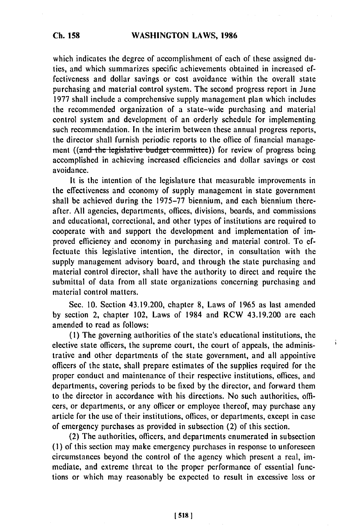### **WASHINGTON** LAWS, **1986**

which indicates the degree of accomplishment of each of these assigned duties, and which summarizes specific achievements obtained in increased effectiveness and dollar savings or cost avoidance within the overall state purchasing and material control system. The second progress report in June 1977 shall include a comprehensive supply management plan which includes the recommended organization of a state-wide purchasing and material control system and development of an orderly schedule for implementing such recommendation. In the interim between these annual progress reports, the director shall furnish periodic reports to the office of financial management ((and the legislative budget committee)) for review of progress being accomplished in achieving increased efficiencies and dollar savings or cost avoidance.

It is the intention of the legislature that measurable improvements in the effectiveness and economy of supply management in state government shall be achieved during the 1975-77 biennium, and each biennium thereafter. All agencies, departments, offices, divisions, boards, and commissions and educational, correctional, and other types of institutions are required to cooperate with and support the development and implementation of improved efficiency and economy in purchasing and material control. To effectuate this legislative intention, the director, in consultation with the supply management advisory board, and through the state purchasing and material control director, shall have the authority to direct and require the submittal of data from all state organizations concerning purchasing and material control matters.

Sec. 10. Section 43.19.200, chapter 8, Laws of 1965 as last amended by section 2, chapter 102, Laws of 1984 and RCW 43.19.200 are each amended to read as follows:

ĵ.

(I) The governing authorities of the state's educational institutions, the elective state officers, the supreme court, the court of appeals, the administrative and other departments of the state government, and all appointive officers of the state, shall prepare estimates of the supplies required for the proper conduct and maintenance of their respective institutions, offices, and departments, covering periods to be fixed by the director, and forward them to the director in accordance with his directions. No such authorities, officers, or departments, or any officer or employee thereof, may purchase any article for the use of their institutions, offices, or departments, except in case of emergency purchases as provided in subsection (2) of this section.

(2) The authorities, officers, and departments enumerated in subsection **(1)** of this section may make emergency purchases in response to unforeseen circumstances beyond the control of the agency which present a real, immediate, and extreme threat to the proper performance of essential functions or which may reasonably be expected to result in excessive loss or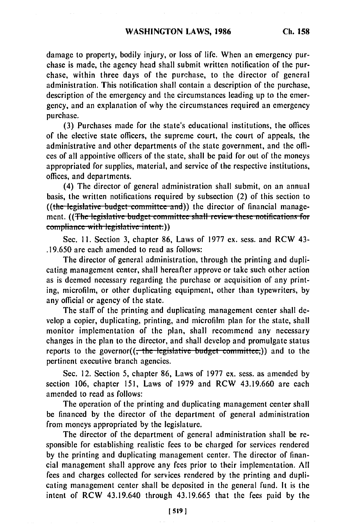damage to property, bodily injury, or loss of life. When an emergency purchase is made, the agency head shall submit written notification of the purchase, within three days of the purchase, to the director of general administration. This notification shall contain a description of the purchase, description of the emergency and the circumstances leading up to the emergency, and an explanation of why the circumstances required an emergency purchase.

(3) Purchases made for the state's educational institutions, the offices of the elective state officers, the supreme court, the court of appeals, the administrative and other departments of the state government, and the offices of all appointive officers of the state, shall be paid for out of the moneys appropriated for supplies, material, and service of the respective institutions, offices, and departments.

(4) The director of general administration shall submit, on an annual basis, the written notifications required by subsection (2) of this section to ((the legislative budget committee and)) the director of financial management. ((<del>The legislative budget committee shall review these notifications for compliance with legislative intent.))</del>

Sec. **11.** Section 3, chapter 86, Laws of 1977 ex. sess. and RCW 43- .19.650 are each amended to read as follows:

The director of general administration, through the printing and duplicating management center, shall hereafter approve or take such other action as is deemed necessary regarding the purchase or acquisition of any printing, microfilm, or other duplicating equipment, other than typewriters, by any official or agency of the state.

The staff of the printing and duplicating management center shall develop a copier, duplicating, printing, and microfilm plan for the state, shall monitor implementation of the plan, shall recommend any necessary changes in the plan to the director, and shall develop and promulgate status reports to the governor((<del>, the legislative budget committee,</del>)) and to the pertinent executive branch agencies.

Sec. 12. Section 5, chapter 86, Laws of 1977 ex. sess. as amended by section 106, chapter 151, Laws of 1979 and RCW 43.19.660 are each amended to read as follows:

The operation of the printing and duplicating management center shall be financed by the director of the department of general administration from moneys appropriated by the legislature.

The director of the department of general administration shall be responsible for establishing realistic fees to be charged for services rendered by the printing and duplicating management center. The director of financial management shall approve any fees prior to their implementation. All fees and charges collected for services rendered by the printing and duplicating management center shall be deposited in the general fund. It is the intent of RCW 43.19.640 through 43.19.665 that the fees paid by the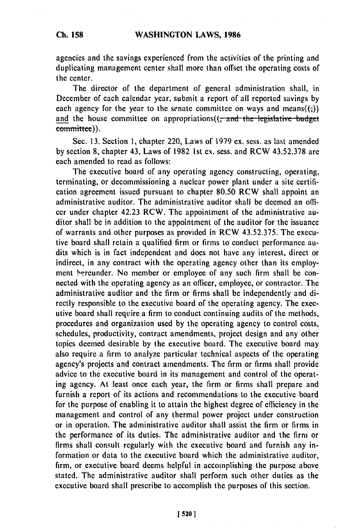## **WASHINGTON LAWS, 1986**

agencies and the savings experienced from the activities of the printing and duplicating management center shall more than offset the operating costs of the center.

The director of the department of general administration shall, in December of each calendar year, submit a report of all reported savings by each agency for the year to the senate committee on ways and means $((,))$ and the house committee on appropriations( $\left($ , and the legislative budget committee)).

Sec. **13.** Section **1,** chapter 220, Laws of 1979 ex. sess. as last amended by section 8, chapter 43, Laws of 1982 1st ex. sess. and RCW 43.52.378 are each amended to read as follows:

The executive board of any operating agency constructing, operating, terminating, or decommissioning a nuclear power plant under a site certification agreement issued pursuant to chapter 80.50 RCW shall appoint an administrative auditor. The administrative auditor shall be deemed an officer under chapter 42.23 RCW. The appointment of the administrative auditor shall be in addition to the appointment of the auditor for the issuance of warrants and other purposes as provided in RCW 43.52.375. The executive board shall retain a qualified firm or firms to conduct performance audits which is in fact independent and does not have any interest, direct or indirect, in any contract with the operating agency other than its employment hereunder. No member or employee of any such firm shall be connected with the operating agency as an officer, employee, or contractor. The administrative auditor and the firm or firms shall be independently and directly responsible to the executive board of the operating agency. The executive board shall require a firm to conduct continuing audits of the methods, procedures and organization used by the operating agency to control costs, schedules, productivity, contract amendments, project design and any other topics deemed desirable by the executive board. The executive board may also require a firm to analyze particular technical aspects of the operating agency's projects and contract amendments. The firm or firms shall provide advice to the executive board in its management and control of the operating agency. At least once each year, the firm or firms shall prepare and furnish a report of its actions and recommendations to the executive board for the purpose of enabling it to attain the highest degree of efficiency in the management and control of any thermal power project under construction or in operation. The administrative auditor shall assist the firm or firms in the performance of its duties. The administrative auditor and the firm or firms shall consult regularly with the executive board and furnish any information or data to the executive board which the administrative auditor, firm, or executive board deems helpful in accomplishing the purpose above stated. The administrative auditor shall perform such other duties as the executive board shall prescribe to accomplish the purposes of this section.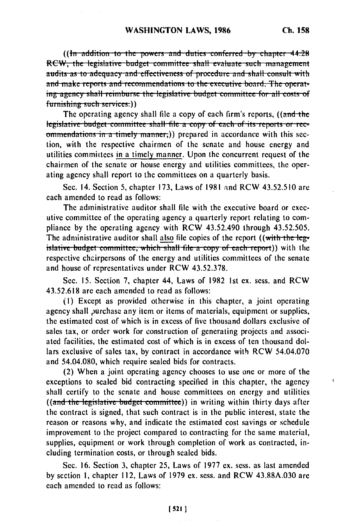ł

**((in addition to the powers and duties conferred by chapter 44.28)** RCW, the legislative budget committee shall evaluate such management audits as to adequacy and effectiveness of procedure and shall consult with **and make reports and recommendations to the executive board. The operat**ing agency shall reimburse the legislative budget committee for all costs of furnishing such services.))

The operating agency shall file a copy of each firm's reports, ((and the legislative budget committee shall file a copy of each of its reports or rec**ommendations in a timely manner.)) prepared in accordance with this sec**tion, with the respective chairmen of the senate and house energy and utilities committees in a timely manner. Upon the concurrent request of the chairmen of the senate or house energy and utilities committees, the operating agency shall report to the committees on a quarterly basis.

Sec. 14. Section 5, chapter **173,** Laws of **1981** and RCW **43.52.510** are each amended to read as follows:

The administrative auditor shall **file** with the executive board or executive committee of the operating agency a quarterly report relating to compliance **by** the operating agency with RCW 43.52.490 through 43.52.505. The administrative auditor shall also file copies of the report ((with the legislative budget committee, which shall file a copy of each report)) with the respective chairpersons of the energy and utilities committees of the senate and house of representatives under RCW 43.52.378.

Sec. 15. Section 7, chapter 44, Laws of 1982 Ist ex. sess. and RCW 43.52.618 are each amended to read as follows:

**(i)** Except as provided otherwise in this chapter, a joint operating agency shall purchase any item or items of materials, equipment or supplies, the estimated cost of which is in excess of five thousand dollars exclusive of sales tax, or order work for construction of generating projects and associated facilities, the estimated cost of which is in excess of ten thousand dollars exclusive of sales tax, by contract in accordance with RCW 54.04.070 and 54.04.080, which require sealed bids for contracts.

(2) When a joint operating agency chooses to use one or more of the exceptions to sealed bid contracting specified in this chapter, the agency shall certify to the senate and house committees on energy and utilities ((and the legislative budget committee)) in writing within thirty days after the contract is signed, that such contract is in the public interest, state the reason or reasons why, and indicate the estimated cost savings or schedule improvement to the project compared to contracting for the same material, supplies, equipment or work through completion of work as contracted, including termination costs, or through sealed bids.

Sec. 16. Section 3, chapter 25, Laws of 1977 ex. sess. as last amended by section **1,** chapter 112, Laws of 1979 ex. sess. and RCW 43.88A.030 are each amended to read as follows: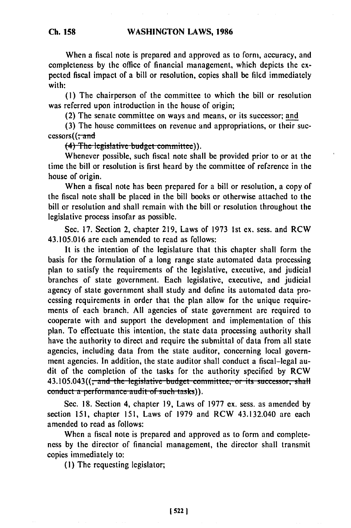When a fiscal note is prepared and approved as to form, accuracy, and completeness by the office of financial management, which depicts the expected fiscal impact of a bill or resolution, copies shall **be** filcd immediately with:

**(I)** The chairperson of the committee to which the bill or resolution was referred upon introduction in the house of origin;

(2) The senate committee on ways and means, or its successor; and

**(3)** The house committees on revenue and appropriations, or their successors((<del>; and</del><br>
(4) The legislative budget committee)).

Whenever possible, such fiscal note shall be provided prior to or at the time the bill or resolution is first heard by the committee of reference in the house of origin.

When a fiscal note has been prepared for a bill or resolution, a copy of the fiscal note shall **be** placed in the bill books or otherwise attached to the bill or resolution and shall remain with the bill or resolution throughout the legislative process insofar as possible.

Sec. 17. Section 2, chapter 219, Laws of 1973 1st ex. sess. and RCW 43.105.016 are each amended to read as follows:

It is the intention of the legislature that this chapter shall form the basis for the formulation of a long range state automated data processing plan to satisfy the requirements of the legislative, executive, and judicial branches of state government. Each legislative, executive, and judicial agency of state government shall study and define its automated data processing requirements in order that the plan allow for the unique requirements of each branch. All agencies of state government are required to cooperate with and support the development and implementation of this plan. To effectuate this intention, the state data processing authority shall have the authority to direct and require the submittal of data from all state agencies, including data from the state auditor, concerning local government agencies. In addition, the state auditor shall conduct a fiscal-legal audit of the completion of the tasks for the authority specified by RCW **43.105.043((**; and the legislative budget committee; or its successor, shall **conduct a performance audit of such tasks)).** 

Sec. 18. Section 4, chapter **19,** Laws of 1977 **ex.** sess. as amended by section 151, chapter 151, Laws of 1979 and RCW 43.132.040 are each amended to read as follows:

When a fiscal note is prepared and approved as to form and completeness by the director of financial management, the director shall transmit copies immediately to:

(i) The requesting legislator;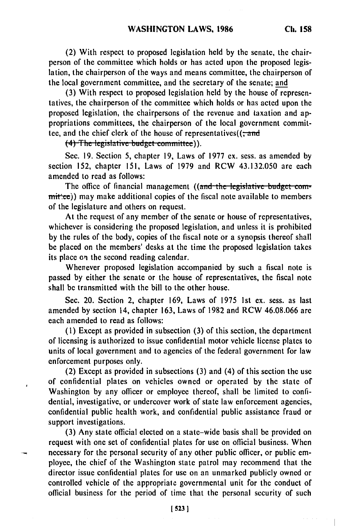**(2)** With respect to proposed legislation held **by** the senate, the chairperson of the committee which holds or has acted upon the proposed legislation, the chairperson of the ways and means committee, the chairperson of the local government committee, and the secretary of the senate; and

(3) With respect to proposed legislation held by the house of representatives, the chairperson of the committee which holds or has acted upon the proposed legislation, the chairpersons of the revenue and taxation and appropriations committees, the chairperson of the local government committee, and the chief clerk of the house of representatives( $(\frac{1}{1}$  and  $(4)$  The legislative budget committee)).

Sec. **19.** Section 5, chapter 19, Laws of **1977** ex. sess. as amended **by** section 152, chapter 151, Laws of 1979 and RCW 43.132.050 are each amended to read as follows:

The office of financial management ((and the legislative budget committer(e)) may make additional copies of the fiscal note available to members of the legislature and others on request.

At the request of any member of the senate or house of representatives, whichever is considering the proposed legislation, and unless it is prohibited by the rules of the body, copies of the fiscal note or a synopsis thereof shall be placed on the members' desks at the time the proposed legislation takes its place on the second reading calendar.

Whenever proposed legislation accompanied by such a fiscal note is passed by either the senate or the house of representatives, the fiscal note shall be transmitted with the bill to the other house.

Sec. 20. Section 2, chapter 169, Laws of 1975 Ist ex. sess. as last amended by section 14, chapter 163, Laws of 1982 and RCW 46.08.066 are each amended to read as follows:

(1) Except as provided in subsection (3) of this section, the department of licensing is authorized to issue confidential motor vehicle license plates to units of local government and to agencies of the federal government for law enforcement purposes only.

(2) Except as provided in subsections (3) and (4) of this section the use of confidential plates on vehicles owned or operated by the state of Washington by any officer or employee thereof, shall be limited to confidential, investigative, or undercover work of state law enforcement agencies, confidential public health work, and confidential public assistance fraud or support investigations.

(3) Any state official elected on a state-wide basis shall be provided on request with one set of confidential plates for use on official business. When necessary for the personal security of any other public officer, or public employee, the chief of the Washington state patrol may recommend that the director issue confidential plates for use on an unmarked publicly owned or controlled vehicle of the appropriate governmental unit for the conduct of official business for the period of time that the personal security of such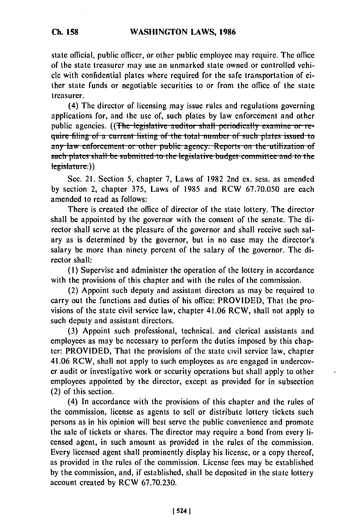state official, public officer, or other public employee may require. The office of the state treasurer may use an unmarked state owned or controlled vehicle with confidential plates where required for the safe transportation of either state funds or negotiable securities to or from the office of the state treasurer.

(4) The director of licensing may issue rules and regulations governing applications for, and the use of, such plates by law enforcement and other public agencies. ((The legislative auditor shall periodically examine or re-<br>quire filing of a current listing of the total number of such plates issued to any law enforcement or other public agency. Reports on the utilization of such plates shall be submitted to the legislative budget committee and to the  $legislature.)$ )

Sec. 21. Section 5, chapter 7, Laws of 1982 2nd ex. sess. as amended by section 2, chapter 375, Laws of 1985 and RCW 67.70.050 are each amended to read as follows:

There is created the office of director of the state lottery. The director shall be appointed by the governor with the consent of the senate. The director shall serve at the pleasure of the governor and shall receive such salary as is determined by the governor, but in no case may the director's salary be more than ninety percent of the salary of the governor. The director shall:

(I) Supervise and administer the operation of the lottery in accordance with the provisions of this chapter and with the rules of the commission.

(2) Appoint such deputy and assistant directors as may be required to carry out the functions and duties of his office: PROVIDED, That the provisions of the state civil service law, chapter 41.06 RCW, shall not apply to such deputy and assistant directors.

(3) Appoint such professional, technical, and clerical assistants and employees as may be necessary to perform the duties imposed by this chapter: PROVIDED, That the provisions of the state civil service law, chapter 41.06 RCW, shall not apply to such employees as are engaged in undercover audit or investigative work or security operations but shall apply to other employees appointed by the director, except as provided for in subsection (2) of this section.

(4) In accordance with the provisions of this chapter and the rules of the commission, license as agents to sell or distribute lottery tickets such persons as in his opinion will best serve the public convenience and promote the sale of tickets or shares. The director may require a bond from every licensed agent, in such amount as provided in the rules of the commission. Every licensed agent shall prominently display his license, or a copy thereof, as provided in the rules of the commission. License fees may be established by the commission, and, if established, shall be deposited in the state lottery account created by RCW 67.70.230.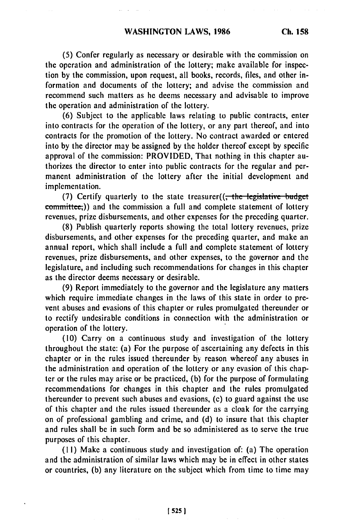**(5)** Confer regularly as necessary or desirable with the commission on the operation and administration of the lottery; make available for inspection by the commission, upon request, all books, records, files, and other information and documents of the lottery; and advise the commission and recommend such matters as he deems necessary and advisable to improve the operation and administration of the lottery.

(6) Subject to the applicable laws relating to public contracts, enter into contracts for the operation of the lottery, or any part thereof, and into contracts for the promotion of the lottery. No contract awarded or entered into by the director may be assigned by the holder thereof except by specific approval of the commission: PROVIDED, That nothing in this chapter authorizes the director to enter into public contracts for the regular and permanent administration of the lottery after the initial development and implementation.

(7) Certify quarterly to the state treasurer((<del>, the legislative budget</del> committee<sub>r</sub>)) and the commission a full and complete statement of lottery revenues, prize disbursements, and other expenses for the preceding quarter.

(8) Publish quarterly reports showing the total lottery revenues, prize disbursements, and other expenses for the preceding quarter, and make an annual report, which shall include a full and complete statement of lottery revenues, prize disbursements, and other expenses, to the governor and the legislature, and including such recommendations for changes in this chapter as the director deems necessary or desirable.

(9) Report immediately to the governor and the legislature any matters which require immediate changes in the laws of this state in order to prevent abuses and evasions of this chapter or rules promulgated thereunder or to rectify undesirable conditions in connection with the administration or operation of the lottery.

(10) Carry on a continuous study and investigation of the lottery throughout the state: (a) For the purpose of ascertaining any defects in this chapter or in the rules issued thereunder by reason whereof any abuses in the administration and operation of the lottery or any evasion of this chapter or the rules may arise or be practiced, (b) for the purpose of formulating recommendations for changes in this chapter and the rules promulgated thereunder to prevent such abuses and evasions, (c) to guard against the use of this chapter and the rules issued thereunder as a cloak for the carrying on of professional gambling and crime, and (d) to insure that this chapter and rules shall be in such form and be so administered as to serve the true purposes of this chapter.

(1I) Make a continuous study and investigation of: (a) The operation and the administration of similar laws which may be in effect in other states or countries, (b) any literature on the subject which from time to time may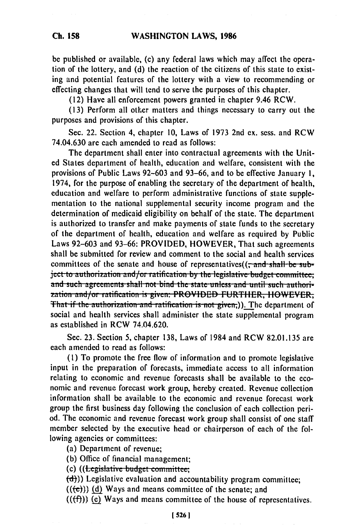**Ch. 158**

be published or available, (c) any federal laws which may affect the operation of the lottery, and (d) the reaction of the citizens of this state to existing and potential features of the lottery with a view to recommending or effecting changes that will tend to serve the purposes of this chapter.

(12) Have all enforcement powers granted in chapter 9.46 RCW.

(13) Perform all other matters and things necessary to carry out the purposes and provisions of this chapter.

Sec. 22. Section 4, chapter 10, Laws of 1973 2nd ex. sess. and RCW 74.04.630 are each amended to read as follows:

The department shall enter into contractual agreements with the United States department of health, education and welfare, consistent with the provisions of Public Laws 92-603 and 93-66, and to be effective January **1,** 1974, for the purpose of enabling the secretary of the department of health, education and welfare to perform administrative functions **of** state supplementation to the national supplemental security income program and the determination of medicaid eligibility on behalf of the state. The department is authorized to transfer and make payments of state funds to the secretary of the department of health, education and welfare as required by Public Laws 92-603 and 93-66: PROVIDED, HOWEVER, That such agreements shall be submitted for review and comment to the social and health services committees of the senate and house of representatives(( $\frac{1}{2}$  and shall be subject to authorization and/or ratification by the legislative budget committee; and such agreements shall not bind the state unless and until such authorization and/or ratification is given: PROVIDED FURTHER, HOWEVER, **That if the authorization and ratification is not given,)). The department of** social and health services shall administer the state supplemental program as established in RCW 74,04.620.

Sec. 23. Section 5, chapter 138, Laws of 1984 and RCW 82.01.135 are each amended to read as follows:

(1) To promote the free flow of information and to promote legislative input in the preparation of forecasts, immediate access to all information relating to economic and revenue forecasts shall be available to the economic and revenue forecast work group, hereby created. Revenue collection information shall be available to the economic and revenue forecast work group the first business day following the conclusion of each collection period. The economic and revenue forecast work group shall consist of one staff member selected by the executive head or chairperson of each of the following agencies or committees:

(a) Department of revenue;

(b) Office of financial management;<br>(c) ((<del>Legislative budget committee;</del>)

**(d))** Legislative evaluation and accountability program committee;

 $((e))$  (d) Ways and means committee of the senate; and

 $((\text{f}f))$  (c) Ways and means committee of the house of representatives.